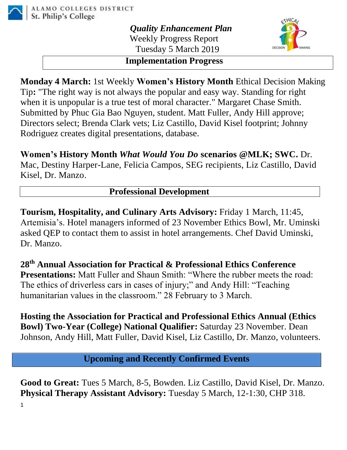

*Quality Enhancement Plan* Weekly Progress Report Tuesday 5 March 2019



## **Implementation Progress**

**Monday 4 March:** 1st Weekly **Women's History Month** Ethical Decision Making Tip**:** "The right way is not always the popular and easy way. Standing for right when it is unpopular is a true test of moral character." Margaret Chase Smith. Submitted by Phuc Gia Bao Nguyen, student. Matt Fuller, Andy Hill approve; Directors select; Brenda Clark vets; Liz Castillo, David Kisel footprint; Johnny Rodriguez creates digital presentations, database.

**Women's History Month** *What Would You Do* **scenarios @MLK; SWC.** Dr. Mac, Destiny Harper-Lane, Felicia Campos, SEG recipients, Liz Castillo, David Kisel, Dr. Manzo.

## **Professional Development**

**Tourism, Hospitality, and Culinary Arts Advisory:** Friday 1 March, 11:45, Artemisia's. Hotel managers informed of 23 November Ethics Bowl, Mr. Uminski asked QEP to contact them to assist in hotel arrangements. Chef David Uminski, Dr. Manzo.

**28th Annual Association for Practical & Professional Ethics Conference Presentations:** Matt Fuller and Shaun Smith: "Where the rubber meets the road: The ethics of driverless cars in cases of injury;" and Andy Hill: "Teaching humanitarian values in the classroom." 28 February to 3 March.

**Hosting the Association for Practical and Professional Ethics Annual (Ethics Bowl) Two-Year (College) National Qualifier:** Saturday 23 November. Dean Johnson, Andy Hill, Matt Fuller, David Kisel, Liz Castillo, Dr. Manzo, volunteers.

**Upcoming and Recently Confirmed Events**

**Good to Great:** Tues 5 March, 8-5, Bowden. Liz Castillo, David Kisel, Dr. Manzo. **Physical Therapy Assistant Advisory:** Tuesday 5 March, 12-1:30, CHP 318.

1